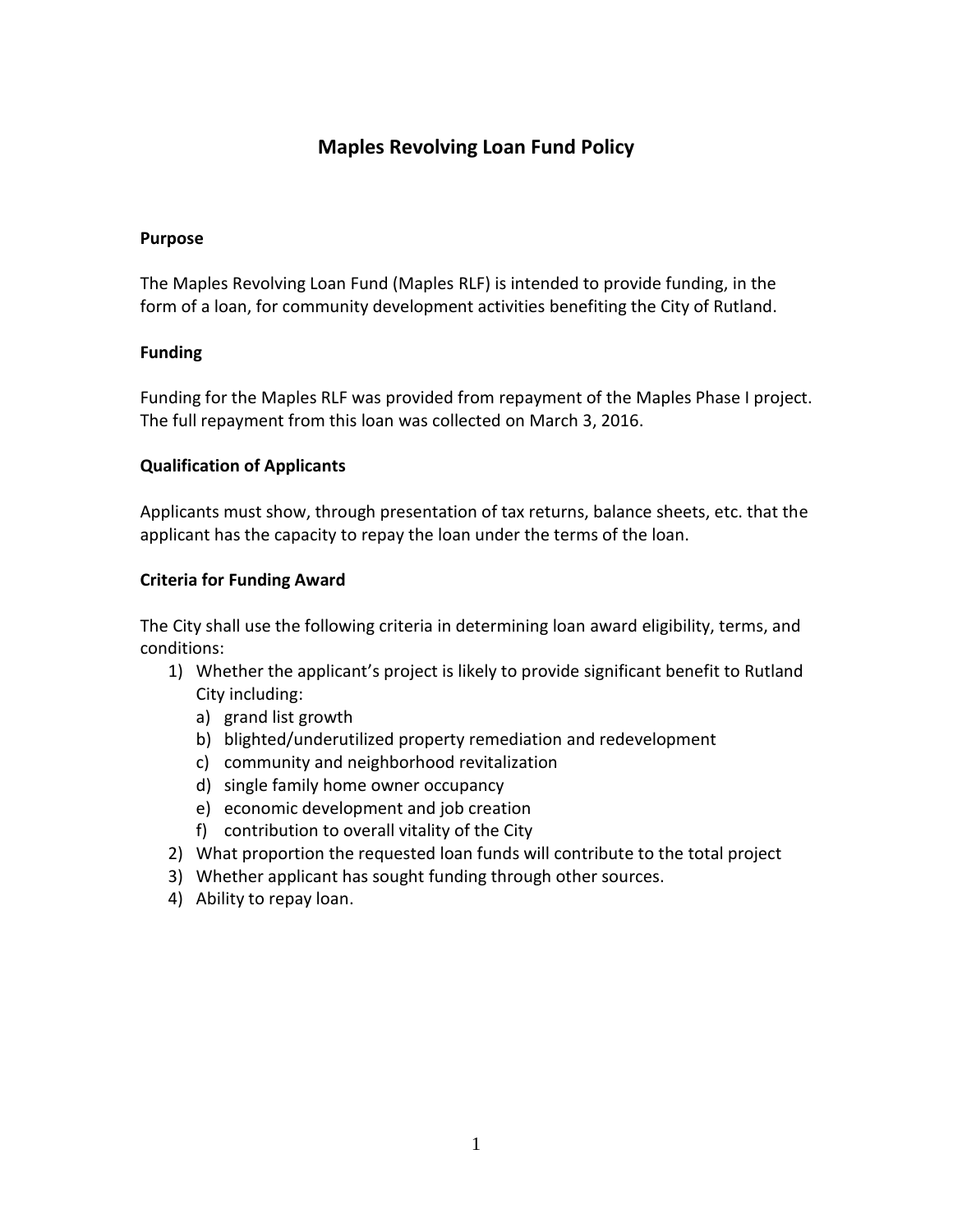# **Maples Revolving Loan Fund Policy**

#### **Purpose**

The Maples Revolving Loan Fund (Maples RLF) is intended to provide funding, in the form of a loan, for community development activities benefiting the City of Rutland.

## **Funding**

Funding for the Maples RLF was provided from repayment of the Maples Phase I project. The full repayment from this loan was collected on March 3, 2016.

## **Qualification of Applicants**

Applicants must show, through presentation of tax returns, balance sheets, etc. that the applicant has the capacity to repay the loan under the terms of the loan.

## **Criteria for Funding Award**

The City shall use the following criteria in determining loan award eligibility, terms, and conditions:

- 1) Whether the applicant's project is likely to provide significant benefit to Rutland City including:
	- a) grand list growth
	- b) blighted/underutilized property remediation and redevelopment
	- c) community and neighborhood revitalization
	- d) single family home owner occupancy
	- e) economic development and job creation
	- f) contribution to overall vitality of the City
- 2) What proportion the requested loan funds will contribute to the total project
- 3) Whether applicant has sought funding through other sources.
- 4) Ability to repay loan.